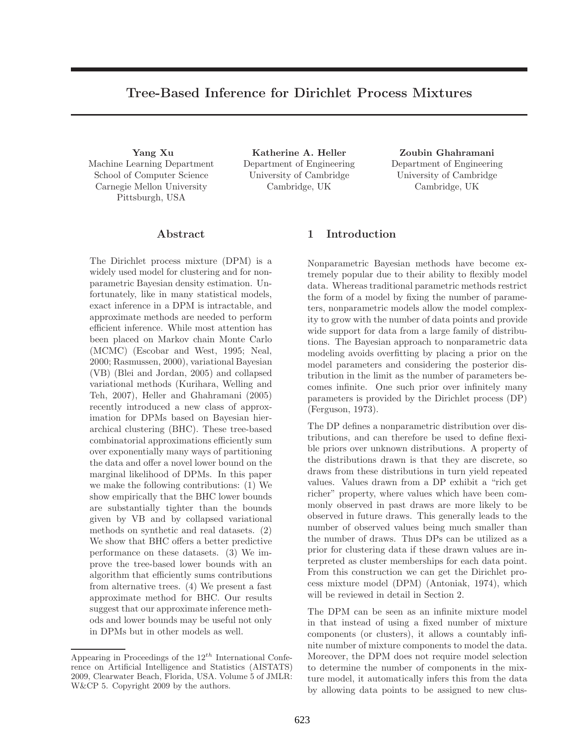# Tree-Based Inference for Dirichlet Process Mixtures

Yang Xu Machine Learning Department School of Computer Science Carnegie Mellon University Pittsburgh, USA

Katherine A. Heller Department of Engineering University of Cambridge Cambridge, UK

Zoubin Ghahramani Department of Engineering University of Cambridge Cambridge, UK

# Abstract

The Dirichlet process mixture (DPM) is a widely used model for clustering and for nonparametric Bayesian density estimation. Unfortunately, like in many statistical models, exact inference in a DPM is intractable, and approximate methods are needed to perform efficient inference. While most attention has been placed on Markov chain Monte Carlo (MCMC) (Escobar and West, 1995; Neal, 2000; Rasmussen, 2000), variational Bayesian (VB) (Blei and Jordan, 2005) and collapsed variational methods (Kurihara, Welling and Teh, 2007), Heller and Ghahramani (2005) recently introduced a new class of approximation for DPMs based on Bayesian hierarchical clustering (BHC). These tree-based combinatorial approximations efficiently sum over exponentially many ways of partitioning the data and offer a novel lower bound on the marginal likelihood of DPMs. In this paper we make the following contributions: (1) We show empirically that the BHC lower bounds are substantially tighter than the bounds given by VB and by collapsed variational methods on synthetic and real datasets. (2) We show that BHC offers a better predictive performance on these datasets. (3) We improve the tree-based lower bounds with an algorithm that efficiently sums contributions from alternative trees. (4) We present a fast approximate method for BHC. Our results suggest that our approximate inference methods and lower bounds may be useful not only in DPMs but in other models as well.

# 1 Introduction

Nonparametric Bayesian methods have become extremely popular due to their ability to flexibly model data. Whereas traditional parametric methods restrict the form of a model by fixing the number of parameters, nonparametric models allow the model complexity to grow with the number of data points and provide wide support for data from a large family of distributions. The Bayesian approach to nonparametric data modeling avoids overfitting by placing a prior on the model parameters and considering the posterior distribution in the limit as the number of parameters becomes infinite. One such prior over infinitely many parameters is provided by the Dirichlet process (DP) (Ferguson, 1973).

The DP defines a nonparametric distribution over distributions, and can therefore be used to define flexible priors over unknown distributions. A property of the distributions drawn is that they are discrete, so draws from these distributions in turn yield repeated values. Values drawn from a DP exhibit a "rich get richer" property, where values which have been commonly observed in past draws are more likely to be observed in future draws. This generally leads to the number of observed values being much smaller than the number of draws. Thus DPs can be utilized as a prior for clustering data if these drawn values are interpreted as cluster memberships for each data point. From this construction we can get the Dirichlet process mixture model (DPM) (Antoniak, 1974), which will be reviewed in detail in Section 2.

The DPM can be seen as an infinite mixture model in that instead of using a fixed number of mixture components (or clusters), it allows a countably infinite number of mixture components to model the data. Moreover, the DPM does not require model selection to determine the number of components in the mixture model, it automatically infers this from the data by allowing data points to be assigned to new clus-

Appearing in Proceedings of the  $12^{th}$  International Conference on Artificial Intelligence and Statistics (AISTATS) 2009, Clearwater Beach, Florida, USA. Volume 5 of JMLR: W&CP 5. Copyright 2009 by the authors.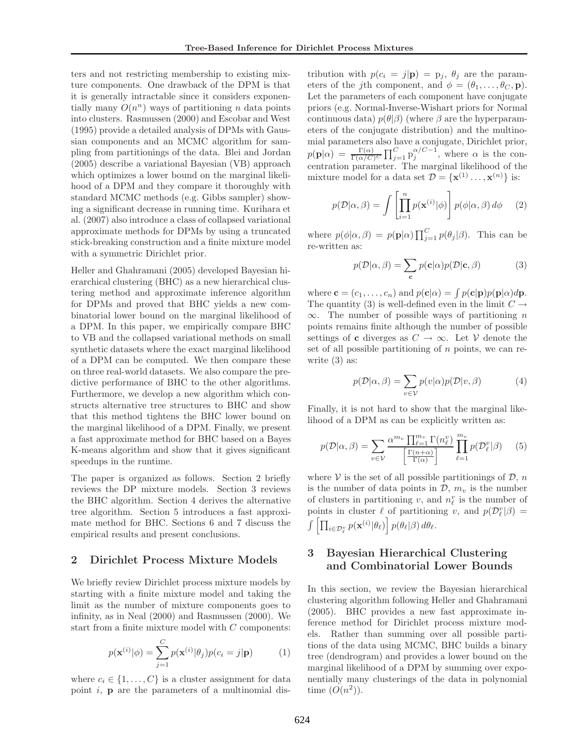ters and not restricting membership to existing mixture components. One drawback of the DPM is that it is generally intractable since it considers exponentially many  $O(n^n)$  ways of partitioning n data points into clusters. Rasmussen (2000) and Escobar and West (1995) provide a detailed analysis of DPMs with Gaussian components and an MCMC algorithm for sampling from partitionings of the data. Blei and Jordan (2005) describe a variational Bayesian (VB) approach which optimizes a lower bound on the marginal likelihood of a DPM and they compare it thoroughly with standard MCMC methods (e.g. Gibbs sampler) showing a significant decrease in running time. Kurihara et al. (2007) also introduce a class of collapsed variational approximate methods for DPMs by using a truncated stick-breaking construction and a finite mixture model with a symmetric Dirichlet prior.

Heller and Ghahramani (2005) developed Bayesian hierarchical clustering (BHC) as a new hierarchical clustering method and approximate inference algorithm for DPMs and proved that BHC yields a new combinatorial lower bound on the marginal likelihood of a DPM. In this paper, we empirically compare BHC to VB and the collapsed variational methods on small synthetic datasets where the exact marginal likelihood of a DPM can be computed. We then compare these on three real-world datasets. We also compare the predictive performance of BHC to the other algorithms. Furthermore, we develop a new algorithm which constructs alternative tree structures to BHC and show that this method tightens the BHC lower bound on the marginal likelihood of a DPM. Finally, we present a fast approximate method for BHC based on a Bayes K-means algorithm and show that it gives significant speedups in the runtime.

The paper is organized as follows. Section 2 briefly reviews the DP mixture models. Section 3 reviews the BHC algorithm. Section 4 derives the alternative tree algorithm. Section 5 introduces a fast approximate method for BHC. Sections 6 and 7 discuss the empirical results and present conclusions.

# 2 Dirichlet Process Mixture Models

We briefly review Dirichlet process mixture models by starting with a finite mixture model and taking the limit as the number of mixture components goes to infinity, as in Neal (2000) and Rasmussen (2000). We start from a finite mixture model with C components:

$$
p(\mathbf{x}^{(i)}|\phi) = \sum_{j=1}^{C} p(\mathbf{x}^{(i)}|\theta_j)p(c_i = j|\mathbf{p})
$$
 (1)

where  $c_i \in \{1, \ldots, C\}$  is a cluster assignment for data point  $i$ ,  $\bf{p}$  are the parameters of a multinomial distribution with  $p(c_i = j | \mathbf{p}) = p_j$ ,  $\theta_j$  are the parameters of the *j*th component, and  $\phi = (\theta_1, \ldots, \theta_C, \mathbf{p}).$ Let the parameters of each component have conjugate priors (e.g. Normal-Inverse-Wishart priors for Normal continuous data)  $p(\theta|\beta)$  (where  $\beta$  are the hyperparameters of the conjugate distribution) and the multinomial parameters also have a conjugate, Dirichlet prior,  $p(\mathbf{p}|\alpha) = \frac{\Gamma(\alpha)}{\Gamma(\alpha/C)^C} \prod_{j=1}^C p_j^{\alpha/C-1}$ , where  $\alpha$  is the concentration parameter. The marginal likelihood of the mixture model for a data set  $\mathcal{D} = {\mathbf{x}^{(1)} \dots, \mathbf{x}^{(n)}}$  is:

$$
p(\mathcal{D}|\alpha,\beta) = \int \left[\prod_{i=1}^{n} p(\mathbf{x}^{(i)}|\phi)\right] p(\phi|\alpha,\beta) d\phi \qquad (2)
$$

where  $p(\phi|\alpha, \beta) = p(\mathbf{p}|\alpha) \prod_{j=1}^{C} p(\theta_j|\beta)$ . This can be re-written as:

$$
p(\mathcal{D}|\alpha,\beta) = \sum_{\mathbf{c}} p(\mathbf{c}|\alpha)p(\mathcal{D}|\mathbf{c},\beta)
$$
 (3)

where  $\mathbf{c} = (c_1, \dots, c_n)$  and  $p(\mathbf{c}|\alpha) = \int p(\mathbf{c}|\mathbf{p})p(\mathbf{p}|\alpha)d\mathbf{p}$ . The quantity (3) is well-defined even in the limit  $C \rightarrow$  $\infty$ . The number of possible ways of partitioning *n* points remains finite although the number of possible settings of **c** diverges as  $C \rightarrow \infty$ . Let  $V$  denote the set of all possible partitioning of  $n$  points, we can rewrite  $(3)$  as:

$$
p(\mathcal{D}|\alpha,\beta) = \sum_{v \in \mathcal{V}} p(v|\alpha)p(\mathcal{D}|v,\beta)
$$
 (4)

Finally, it is not hard to show that the marginal likelihood of a DPM as can be explicitly written as:

$$
p(\mathcal{D}|\alpha,\beta) = \sum_{v \in \mathcal{V}} \frac{\alpha^{m_v} \prod_{\ell=1}^{m_v} \Gamma(n_{\ell}^v)}{\left[\frac{\Gamma(n+\alpha)}{\Gamma(\alpha)}\right]} \prod_{\ell=1}^{m_v} p(\mathcal{D}_{\ell}^v|\beta) \qquad (5)
$$

where  $V$  is the set of all possible partitionings of  $D$ , n is the number of data points in  $\mathcal{D}, m_v$  is the number of clusters in partitioning v, and  $n_{\ell}^{v}$  is the number of points in cluster  $\ell$  of partitioning v, and  $p(\mathcal{D}_{\ell}^v|\beta) =$  $\int \left[ \prod_{i \in \mathcal{D}_{\ell}^{v}} p(\mathbf{x}^{(i)} | \theta_{\ell}) \right] p(\theta_{\ell} | \beta) d\theta_{\ell}.$ 

# 3 Bayesian Hierarchical Clustering and Combinatorial Lower Bounds

In this section, we review the Bayesian hierarchical clustering algorithm following Heller and Ghahramani (2005). BHC provides a new fast approximate inference method for Dirichlet process mixture models. Rather than summing over all possible partitions of the data using MCMC, BHC builds a binary tree (dendrogram) and provides a lower bound on the marginal likelihood of a DPM by summing over exponentially many clusterings of the data in polynomial time  $(O(n^2))$ .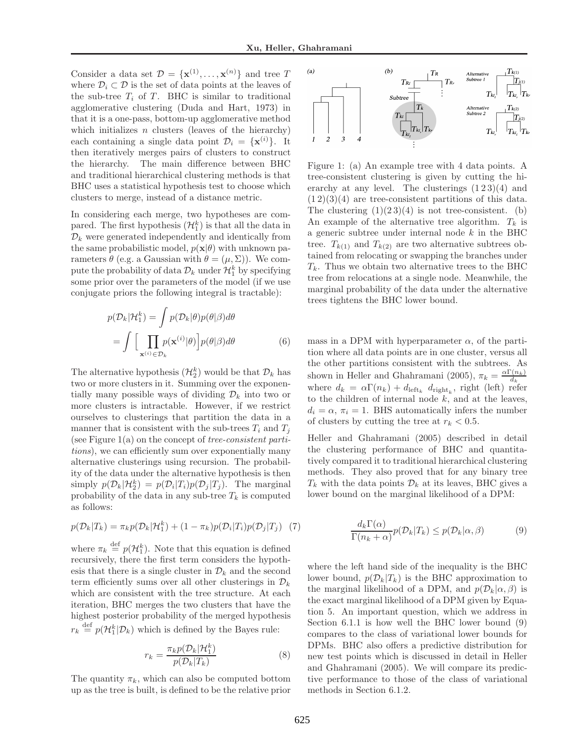Consider a data set  $\mathcal{D} = {\mathbf{x}^{(1)}, \dots, \mathbf{x}^{(n)}}$  and tree T where  $\mathcal{D}_i \subset \mathcal{D}$  is the set of data points at the leaves of the sub-tree  $T_i$  of T. BHC is similar to traditional agglomerative clustering (Duda and Hart, 1973) in that it is a one-pass, bottom-up agglomerative method which initializes  $n$  clusters (leaves of the hierarchy) each containing a single data point  $\mathcal{D}_i = {\mathbf{x}^{(i)}}$ . It then iteratively merges pairs of clusters to construct the hierarchy. The main difference between BHC and traditional hierarchical clustering methods is that BHC uses a statistical hypothesis test to choose which clusters to merge, instead of a distance metric.

In considering each merge, two hypotheses are compared. The first hypothesis  $(\mathcal{H}_1^k)$  is that all the data in  $\mathcal{D}_k$  were generated independently and identically from the same probabilistic model,  $p(\mathbf{x}|\theta)$  with unknown parameters  $\theta$  (e.g. a Gaussian with  $\theta = (\mu, \Sigma)$ ). We compute the probability of data  $\mathcal{D}_k$  under  $\mathcal{H}_1^k$  by specifying some prior over the parameters of the model (if we use conjugate priors the following integral is tractable):

$$
p(\mathcal{D}_k|\mathcal{H}_1^k) = \int p(\mathcal{D}_k|\theta)p(\theta|\beta)d\theta
$$

$$
= \int \Big[ \prod_{\mathbf{x}^{(i)} \in \mathcal{D}_k} p(\mathbf{x}^{(i)}|\theta) \Big] p(\theta|\beta)d\theta \tag{6}
$$

The alternative hypothesis  $(\mathcal{H}_2^k)$  would be that  $\mathcal{D}_k$  has two or more clusters in it. Summing over the exponentially many possible ways of dividing  $\mathcal{D}_k$  into two or more clusters is intractable. However, if we restrict ourselves to clusterings that partition the data in a manner that is consistent with the sub-trees  $T_i$  and  $T_j$ (see Figure  $1(a)$  on the concept of tree-consistent partitions), we can efficiently sum over exponentially many alternative clusterings using recursion. The probability of the data under the alternative hypothesis is then simply  $p(\mathcal{D}_k|\mathcal{H}_2^k) = p(\mathcal{D}_i|T_i)p(\mathcal{D}_j|T_j)$ . The marginal probability of the data in any sub-tree  $T_k$  is computed as follows:

$$
p(\mathcal{D}_k|T_k) = \pi_k p(\mathcal{D}_k|\mathcal{H}_1^k) + (1 - \pi_k)p(\mathcal{D}_i|T_i)p(\mathcal{D}_j|T_j)
$$
 (7)

where  $\pi_k \stackrel{\text{def}}{=} p(\mathcal{H}_1^k)$ . Note that this equation is defined recursively, there the first term considers the hypothesis that there is a single cluster in  $\mathcal{D}_k$  and the second term efficiently sums over all other clusterings in  $\mathcal{D}_k$ which are consistent with the tree structure. At each iteration, BHC merges the two clusters that have the highest posterior probability of the merged hypothesis  $r_k \stackrel{\text{def}}{=} p(\mathcal{H}_1^k | \mathcal{D}_k)$  which is defined by the Bayes rule:

$$
r_k = \frac{\pi_k p(\mathcal{D}_k | \mathcal{H}_1^k)}{p(\mathcal{D}_k | T_k)}\tag{8}
$$

The quantity  $\pi_k$ , which can also be computed bottom up as the tree is built, is defined to be the relative prior



Figure 1: (a) An example tree with 4 data points. A tree-consistent clustering is given by cutting the hierarchy at any level. The clusterings  $(1\,2\,3)(4)$  and  $(1\,2)(3)(4)$  are tree-consistent partitions of this data. The clustering  $(1)(23)(4)$  is not tree-consistent. (b) An example of the alternative tree algorithm.  $T_k$  is a generic subtree under internal node  $k$  in the BHC tree.  $T_{k(1)}$  and  $T_{k(2)}$  are two alternative subtrees obtained from relocating or swapping the branches under  $T_k$ . Thus we obtain two alternative trees to the BHC tree from relocations at a single node. Meanwhile, the marginal probability of the data under the alternative trees tightens the BHC lower bound.

mass in a DPM with hyperparameter  $\alpha$ , of the partition where all data points are in one cluster, versus all the other partitions consistent with the subtrees. As shown in Heller and Ghahramani (2005),  $\pi_k = \frac{\alpha \Gamma(n_k)}{d_k}$  $d_k$ where  $d_k = \alpha \Gamma(n_k) + d_{\text{left}_k} d_{\text{right}_k}$ , right (left) refer to the children of internal node  $k$ , and at the leaves,  $d_i = \alpha$ ,  $\pi_i = 1$ . BHS automatically infers the number of clusters by cutting the tree at  $r_k < 0.5$ .

Heller and Ghahramani (2005) described in detail the clustering performance of BHC and quantitatively compared it to traditional hierarchical clustering methods. They also proved that for any binary tree  $T_k$  with the data points  $\mathcal{D}_k$  at its leaves, BHC gives a lower bound on the marginal likelihood of a DPM:

$$
\frac{d_k \Gamma(\alpha)}{\Gamma(n_k + \alpha)} p(\mathcal{D}_k | T_k) \le p(\mathcal{D}_k | \alpha, \beta)
$$
\n(9)

where the left hand side of the inequality is the BHC lower bound,  $p(\mathcal{D}_k|T_k)$  is the BHC approximation to the marginal likelihood of a DPM, and  $p(\mathcal{D}_k|\alpha,\beta)$  is the exact marginal likelihood of a DPM given by Equation 5. An important question, which we address in Section 6.1.1 is how well the BHC lower bound (9) compares to the class of variational lower bounds for DPMs. BHC also offers a predictive distribution for new test points which is discussed in detail in Heller and Ghahramani (2005). We will compare its predictive performance to those of the class of variational methods in Section 6.1.2.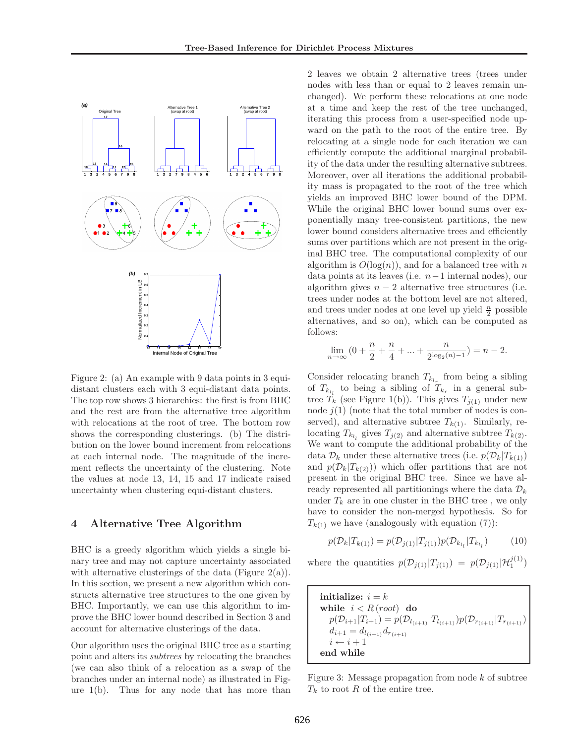

Figure 2: (a) An example with 9 data points in 3 equidistant clusters each with 3 equi-distant data points. The top row shows 3 hierarchies: the first is from BHC and the rest are from the alternative tree algorithm with relocations at the root of tree. The bottom row shows the corresponding clusterings. (b) The distribution on the lower bound increment from relocations at each internal node. The magnitude of the increment reflects the uncertainty of the clustering. Note the values at node 13, 14, 15 and 17 indicate raised uncertainty when clustering equi-distant clusters.

### 4 Alternative Tree Algorithm

BHC is a greedy algorithm which yields a single binary tree and may not capture uncertainty associated with alternative clusterings of the data (Figure  $2(a)$ ). In this section, we present a new algorithm which constructs alternative tree structures to the one given by BHC. Importantly, we can use this algorithm to improve the BHC lower bound described in Section 3 and account for alternative clusterings of the data.

Our algorithm uses the original BHC tree as a starting point and alters its subtrees by relocating the branches (we can also think of a relocation as a swap of the branches under an internal node) as illustrated in Figure 1(b). Thus for any node that has more than

2 leaves we obtain 2 alternative trees (trees under nodes with less than or equal to 2 leaves remain unchanged). We perform these relocations at one node at a time and keep the rest of the tree unchanged, iterating this process from a user-specified node upward on the path to the root of the entire tree. By relocating at a single node for each iteration we can efficiently compute the additional marginal probability of the data under the resulting alternative subtrees. Moreover, over all iterations the additional probability mass is propagated to the root of the tree which yields an improved BHC lower bound of the DPM. While the original BHC lower bound sums over exponentially many tree-consistent partitions, the new lower bound considers alternative trees and efficiently sums over partitions which are not present in the original BHC tree. The computational complexity of our algorithm is  $O(\log(n))$ , and for a balanced tree with n data points at its leaves (i.e. n−1 internal nodes), our algorithm gives  $n-2$  alternative tree structures (i.e. trees under nodes at the bottom level are not altered, and trees under nodes at one level up yield  $\frac{n}{2}$  possible alternatives, and so on), which can be computed as follows:

$$
\lim_{n \to \infty} (0 + \frac{n}{2} + \frac{n}{4} + \dots + \frac{n}{2^{\log_2(n)-1}}) = n - 2.
$$

Consider relocating branch  $T_{k_{l_r}}$  from being a sibling of  $T_{k_{l_i}}$  to being a sibling of  $T_{k_r}$  in a general subtree  $T_k$  (see Figure 1(b)). This gives  $T_{i(1)}$  under new node  $j(1)$  (note that the total number of nodes is conserved), and alternative subtree  $T_{k(1)}$ . Similarly, relocating  $T_{k_l}$  gives  $T_{j(2)}$  and alternative subtree  $T_{k(2)}$ . We want to compute the additional probability of the data  $\mathcal{D}_k$  under these alternative trees (i.e.  $p(\mathcal{D}_k|T_{k(1)})$ ) and  $p(\mathcal{D}_k|T_{k(2)})$  which offer partitions that are not present in the original BHC tree. Since we have already represented all partitionings where the data  $\mathcal{D}_k$ under  $T_k$  are in one cluster in the BHC tree, we only have to consider the non-merged hypothesis. So for  $T_{k(1)}$  we have (analogously with equation (7)):

$$
p(\mathcal{D}_k|T_{k(1)}) = p(\mathcal{D}_{j(1)}|T_{j(1)})p(\mathcal{D}_{k_{l_l}}|T_{k_{l_l}})
$$
(10)

where the quantities  $p(\mathcal{D}_{j(1)}|T_{j(1)}) = p(\mathcal{D}_{j(1)}|\mathcal{H}_1^{j(1)})$ 

initialize:  $i = k$ while  $i < R$  (root) do  $p(\mathcal{D}_{i+1}|T_{i+1}) = p(\mathcal{D}_{l_{(i+1)}}|T_{l_{(i+1)}})p(\mathcal{D}_{r_{(i+1)}}|T_{r_{(i+1)}})$  $d_{i+1} = d_{l_{(i+1)}} d_{r_{(i+1)}}$  $i \leftarrow i + 1$ end while

Figure 3: Message propagation from node  $k$  of subtree  $T_k$  to root R of the entire tree.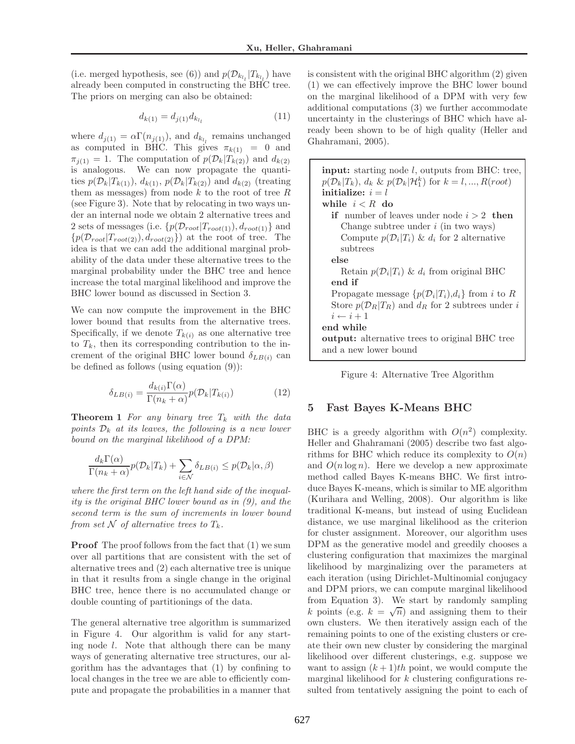(i.e. merged hypothesis, see (6)) and  $p(\mathcal{D}_{k_{l}}|T_{k_{l}})$  have already been computed in constructing the BHC tree. The priors on merging can also be obtained:

$$
d_{k(1)} = d_{j(1)} d_{k_{l_l}} \tag{11}
$$

where  $d_{j(1)} = \alpha \Gamma(n_{j(1)})$ , and  $d_{k_{l_i}}$  remains unchanged as computed in BHC. This gives  $\pi_{k(1)} = 0$  and  $\pi_{j(1)} = 1$ . The computation of  $p(\mathcal{D}_k | T_{k(2)})$  and  $d_{k(2)}$ is analogous. We can now propagate the quantities  $p(\mathcal{D}_k|T_{k(1)})$ ,  $d_{k(1)}$ ,  $p(\mathcal{D}_k|T_{k(2)})$  and  $d_{k(2)}$  (treating them as messages) from node  $k$  to the root of tree  $R$ (see Figure 3). Note that by relocating in two ways under an internal node we obtain 2 alternative trees and 2 sets of messages (i.e.  $\{p(\mathcal{D}_{root}|T_{root(1)}), d_{root(1)}\}$  and  ${p(\mathcal{D}_{root}|T_{root(2)}), d_{root(2)}}$  at the root of tree. The idea is that we can add the additional marginal probability of the data under these alternative trees to the marginal probability under the BHC tree and hence increase the total marginal likelihood and improve the BHC lower bound as discussed in Section 3.

We can now compute the improvement in the BHC lower bound that results from the alternative trees. Specifically, if we denote  $T_{k(i)}$  as one alternative tree to  $T_k$ , then its corresponding contribution to the increment of the original BHC lower bound  $\delta_{LB(i)}$  can be defined as follows (using equation (9)):

$$
\delta_{LB(i)} = \frac{d_{k(i)}\Gamma(\alpha)}{\Gamma(n_k + \alpha)} p(\mathcal{D}_k | T_{k(i)})
$$
\n(12)

**Theorem 1** For any binary tree  $T_k$  with the data points  $\mathcal{D}_k$  at its leaves, the following is a new lower bound on the marginal likelihood of a DPM:

$$
\frac{d_k \Gamma(\alpha)}{\Gamma(n_k + \alpha)} p(\mathcal{D}_k | T_k) + \sum_{i \in \mathcal{N}} \delta_{LB(i)} \leq p(\mathcal{D}_k | \alpha, \beta)
$$

where the first term on the left hand side of the inequality is the original BHC lower bound as in (9), and the second term is the sum of increments in lower bound from set N of alternative trees to  $T_k$ .

**Proof** The proof follows from the fact that  $(1)$  we sum over all partitions that are consistent with the set of alternative trees and (2) each alternative tree is unique in that it results from a single change in the original BHC tree, hence there is no accumulated change or double counting of partitionings of the data.

The general alternative tree algorithm is summarized in Figure 4. Our algorithm is valid for any starting node l. Note that although there can be many ways of generating alternative tree structures, our algorithm has the advantages that (1) by confining to local changes in the tree we are able to efficiently compute and propagate the probabilities in a manner that is consistent with the original BHC algorithm (2) given (1) we can effectively improve the BHC lower bound on the marginal likelihood of a DPM with very few additional computations (3) we further accommodate uncertainty in the clusterings of BHC which have already been shown to be of high quality (Heller and Ghahramani, 2005).

input: starting node l, outputs from BHC: tree,  $p(\mathcal{D}_k|T_k)$ ,  $d_k \& p(\mathcal{D}_k|\mathcal{H}_1^k)$  for  $k = l, ..., R(root)$ initialize:  $i = l$ while  $i < R$  do if number of leaves under node  $i > 2$  then Change subtree under  $i$  (in two ways) Compute  $p(\mathcal{D}_i | T_i)$  &  $d_i$  for 2 alternative subtrees else Retain  $p(\mathcal{D}_i|T_i)$  &  $d_i$  from original BHC end if Propagate message  $\{p(\mathcal{D}_i|T_i), d_i\}$  from i to R Store  $p(\mathcal{D}_R|T_R)$  and  $d_R$  for 2 subtrees under i  $i \leftarrow i + 1$ end while output: alternative trees to original BHC tree and a new lower bound



# 5 Fast Bayes K-Means BHC

BHC is a greedy algorithm with  $O(n^2)$  complexity. Heller and Ghahramani (2005) describe two fast algorithms for BHC which reduce its complexity to  $O(n)$ and  $O(n \log n)$ . Here we develop a new approximate method called Bayes K-means BHC. We first introduce Bayes K-means, which is similar to ME algorithm (Kurihara and Welling, 2008). Our algorithm is like traditional K-means, but instead of using Euclidean distance, we use marginal likelihood as the criterion for cluster assignment. Moreover, our algorithm uses DPM as the generative model and greedily chooses a clustering configuration that maximizes the marginal likelihood by marginalizing over the parameters at each iteration (using Dirichlet-Multinomial conjugacy and DPM priors, we can compute marginal likelihood from Equation 3). We start by randomly sampling k points (e.g.  $k = \sqrt{n}$ ) and assigning them to their own clusters. We then iteratively assign each of the remaining points to one of the existing clusters or create their own new cluster by considering the marginal likelihood over different clusterings, e.g. suppose we want to assign  $(k+1)th$  point, we would compute the marginal likelihood for k clustering configurations resulted from tentatively assigning the point to each of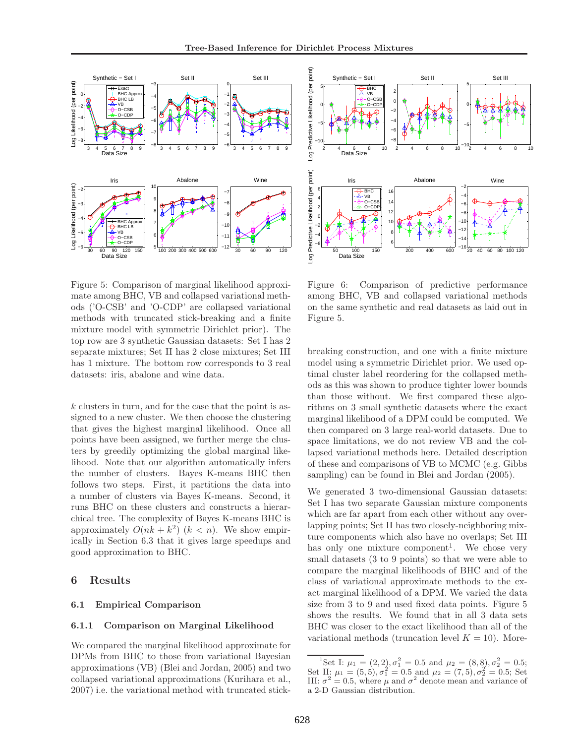

Figure 5: Comparison of marginal likelihood approximate among BHC, VB and collapsed variational methods ('O-CSB' and 'O-CDP' are collapsed variational methods with truncated stick-breaking and a finite mixture model with symmetric Dirichlet prior). The top row are 3 synthetic Gaussian datasets: Set I has 2 separate mixtures; Set II has 2 close mixtures; Set III has 1 mixture. The bottom row corresponds to 3 real datasets: iris, abalone and wine data.

k clusters in turn, and for the case that the point is assigned to a new cluster. We then choose the clustering that gives the highest marginal likelihood. Once all points have been assigned, we further merge the clusters by greedily optimizing the global marginal likelihood. Note that our algorithm automatically infers the number of clusters. Bayes K-means BHC then follows two steps. First, it partitions the data into a number of clusters via Bayes K-means. Second, it runs BHC on these clusters and constructs a hierarchical tree. The complexity of Bayes K-means BHC is approximately  $O(nk + k^2)$   $(k < n)$ . We show empirically in Section 6.3 that it gives large speedups and good approximation to BHC.

### 6 Results

#### 6.1 Empirical Comparison

#### 6.1.1 Comparison on Marginal Likelihood

We compared the marginal likelihood approximate for DPMs from BHC to those from variational Bayesian approximations (VB) (Blei and Jordan, 2005) and two collapsed variational approximations (Kurihara et al., 2007) i.e. the variational method with truncated stick-



Figure 6: Comparison of predictive performance among BHC, VB and collapsed variational methods on the same synthetic and real datasets as laid out in Figure 5.

breaking construction, and one with a finite mixture model using a symmetric Dirichlet prior. We used optimal cluster label reordering for the collapsed methods as this was shown to produce tighter lower bounds than those without. We first compared these algorithms on 3 small synthetic datasets where the exact marginal likelihood of a DPM could be computed. We then compared on 3 large real-world datasets. Due to space limitations, we do not review VB and the collapsed variational methods here. Detailed description of these and comparisons of VB to MCMC (e.g. Gibbs sampling) can be found in Blei and Jordan (2005).

We generated 3 two-dimensional Gaussian datasets: Set I has two separate Gaussian mixture components which are far apart from each other without any overlapping points; Set II has two closely-neighboring mixture components which also have no overlaps; Set III has only one mixture component<sup>1</sup>. We chose very small datasets (3 to 9 points) so that we were able to compare the marginal likelihoods of BHC and of the class of variational approximate methods to the exact marginal likelihood of a DPM. We varied the data size from 3 to 9 and used fixed data points. Figure 5 shows the results. We found that in all 3 data sets BHC was closer to the exact likelihood than all of the variational methods (truncation level  $K = 10$ ). More-

<sup>&</sup>lt;sup>1</sup>Set I:  $\mu_1 = (2, 2), \sigma_1^2 = 0.5$  and  $\mu_2 = (8, 8), \sigma_2^2 = 0.5;$ Set II:  $\mu_1 = (5, 5), \sigma_1^2 = 0.5$  and  $\mu_2 = (7, 5), \sigma_2^2 = 0.5$ ; Set III:  $\sigma^2 = 0.5$ , where  $\mu$  and  $\sigma^2$  denote mean and variance of a 2-D Gaussian distribution.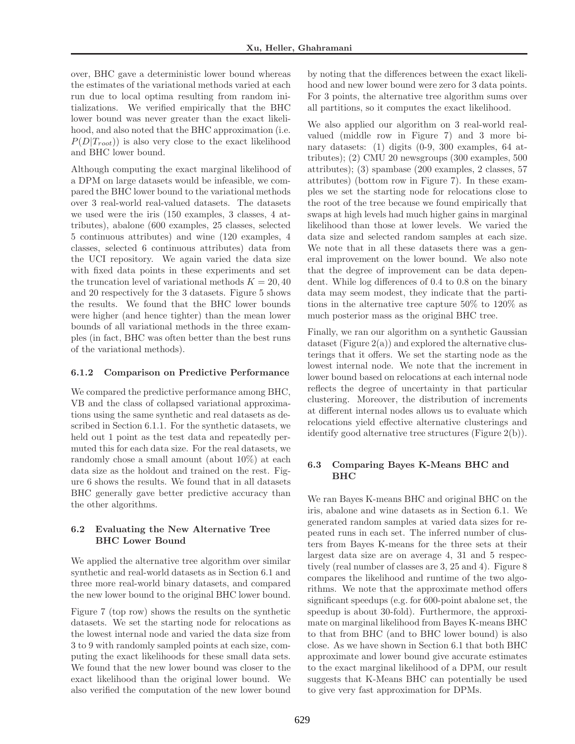over, BHC gave a deterministic lower bound whereas the estimates of the variational methods varied at each run due to local optima resulting from random initializations. We verified empirically that the BHC lower bound was never greater than the exact likelihood, and also noted that the BHC approximation (i.e.  $P(D|T_{root})$  is also very close to the exact likelihood and BHC lower bound.

Although computing the exact marginal likelihood of a DPM on large datasets would be infeasible, we compared the BHC lower bound to the variational methods over 3 real-world real-valued datasets. The datasets we used were the iris (150 examples, 3 classes, 4 attributes), abalone (600 examples, 25 classes, selected 5 continuous attributes) and wine (120 examples, 4 classes, selected 6 continuous attributes) data from the UCI repository. We again varied the data size with fixed data points in these experiments and set the truncation level of variational methods  $K = 20, 40$ and 20 respectively for the 3 datasets. Figure 5 shows the results. We found that the BHC lower bounds were higher (and hence tighter) than the mean lower bounds of all variational methods in the three examples (in fact, BHC was often better than the best runs of the variational methods).

#### 6.1.2 Comparison on Predictive Performance

We compared the predictive performance among BHC, VB and the class of collapsed variational approximations using the same synthetic and real datasets as described in Section 6.1.1. For the synthetic datasets, we held out 1 point as the test data and repeatedly permuted this for each data size. For the real datasets, we randomly chose a small amount (about 10%) at each data size as the holdout and trained on the rest. Figure 6 shows the results. We found that in all datasets BHC generally gave better predictive accuracy than the other algorithms.

### 6.2 Evaluating the New Alternative Tree BHC Lower Bound

We applied the alternative tree algorithm over similar synthetic and real-world datasets as in Section 6.1 and three more real-world binary datasets, and compared the new lower bound to the original BHC lower bound.

Figure 7 (top row) shows the results on the synthetic datasets. We set the starting node for relocations as the lowest internal node and varied the data size from 3 to 9 with randomly sampled points at each size, computing the exact likelihoods for these small data sets. We found that the new lower bound was closer to the exact likelihood than the original lower bound. We also verified the computation of the new lower bound by noting that the differences between the exact likelihood and new lower bound were zero for 3 data points. For 3 points, the alternative tree algorithm sums over all partitions, so it computes the exact likelihood.

We also applied our algorithm on 3 real-world realvalued (middle row in Figure 7) and 3 more binary datasets: (1) digits (0-9, 300 examples, 64 attributes); (2) CMU 20 newsgroups (300 examples, 500 attributes); (3) spambase (200 examples, 2 classes, 57 attributes) (bottom row in Figure 7). In these examples we set the starting node for relocations close to the root of the tree because we found empirically that swaps at high levels had much higher gains in marginal likelihood than those at lower levels. We varied the data size and selected random samples at each size. We note that in all these datasets there was a general improvement on the lower bound. We also note that the degree of improvement can be data dependent. While log differences of 0.4 to 0.8 on the binary data may seem modest, they indicate that the partitions in the alternative tree capture 50% to 120% as much posterior mass as the original BHC tree.

Finally, we ran our algorithm on a synthetic Gaussian dataset (Figure  $2(a)$ ) and explored the alternative clusterings that it offers. We set the starting node as the lowest internal node. We note that the increment in lower bound based on relocations at each internal node reflects the degree of uncertainty in that particular clustering. Moreover, the distribution of increments at different internal nodes allows us to evaluate which relocations yield effective alternative clusterings and identify good alternative tree structures (Figure 2(b)).

### 6.3 Comparing Bayes K-Means BHC and BHC

We ran Bayes K-means BHC and original BHC on the iris, abalone and wine datasets as in Section 6.1. We generated random samples at varied data sizes for repeated runs in each set. The inferred number of clusters from Bayes K-means for the three sets at their largest data size are on average 4, 31 and 5 respectively (real number of classes are 3, 25 and 4). Figure 8 compares the likelihood and runtime of the two algorithms. We note that the approximate method offers significant speedups (e.g. for 600-point abalone set, the speedup is about 30-fold). Furthermore, the approximate on marginal likelihood from Bayes K-means BHC to that from BHC (and to BHC lower bound) is also close. As we have shown in Section 6.1 that both BHC approximate and lower bound give accurate estimates to the exact marginal likelihood of a DPM, our result suggests that K-Means BHC can potentially be used to give very fast approximation for DPMs.